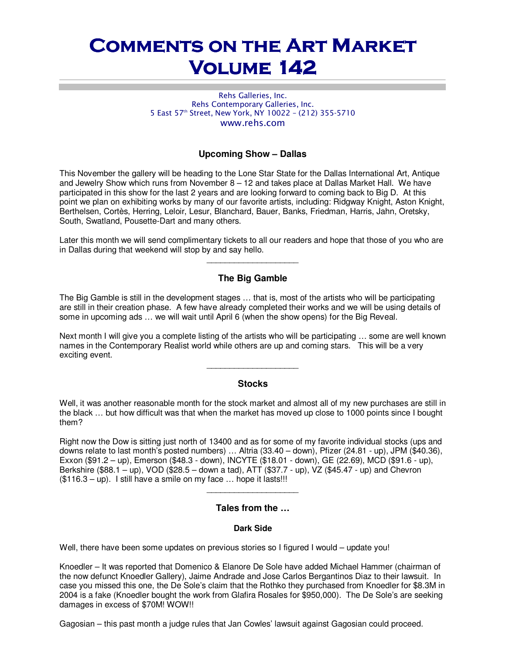# **COMMENTS ON THE ART MARKET Volume 142 Volume 142**

#### Rehs Galleries, Inc. Rehs Contemporary Galleries, Inc. 5 East 57th Street, New York, NY 10022 – (212) 355-5710 www.rehs.com

### **Upcoming Show – Dallas**

This November the gallery will be heading to the Lone Star State for the Dallas International Art, Antique and Jewelry Show which runs from November 8 – 12 and takes place at Dallas Market Hall. We have participated in this show for the last 2 years and are looking forward to coming back to Big D. At this point we plan on exhibiting works by many of our favorite artists, including: Ridgway Knight, Aston Knight, Berthelsen, Cortès, Herring, Leloir, Lesur, Blanchard, Bauer, Banks, Friedman, Harris, Jahn, Oretsky, South, Swatland, Pousette-Dart and many others.

Later this month we will send complimentary tickets to all our readers and hope that those of you who are in Dallas during that weekend will stop by and say hello.  $\overline{\phantom{a}}$  , we can also the contract of  $\overline{\phantom{a}}$ 

## **The Big Gamble**

The Big Gamble is still in the development stages … that is, most of the artists who will be participating are still in their creation phase. A few have already completed their works and we will be using details of some in upcoming ads … we will wait until April 6 (when the show opens) for the Big Reveal.

Next month I will give you a complete listing of the artists who will be participating … some are well known names in the Contemporary Realist world while others are up and coming stars. This will be a very exciting event.

#### **Stocks**

 $\_$ 

Well, it was another reasonable month for the stock market and almost all of my new purchases are still in the black … but how difficult was that when the market has moved up close to 1000 points since I bought them?

Right now the Dow is sitting just north of 13400 and as for some of my favorite individual stocks (ups and downs relate to last month's posted numbers) … Altria (33.40 – down), Pfizer (24.81 - up), JPM (\$40.36), Exxon (\$91.2 – up), Emerson (\$48.3 - down), INCYTE (\$18.01 - down), GE (22.69), MCD (\$91.6 - up), Berkshire (\$88.1 – up), VOD (\$28.5 – down a tad), ATT (\$37.7 - up), VZ (\$45.47 - up) and Chevron  $($116.3 - up)$ . I still have a smile on my face ... hope it lasts!!!

#### **Tales from the …**

 $\_$ 

#### **Dark Side**

Well, there have been some updates on previous stories so I figured I would – update you!

Knoedler – It was reported that Domenico & Elanore De Sole have added Michael Hammer (chairman of the now defunct Knoedler Gallery), Jaime Andrade and Jose Carlos Bergantinos Diaz to their lawsuit. In case you missed this one, the De Sole's claim that the Rothko they purchased from Knoedler for \$8.3M in 2004 is a fake (Knoedler bought the work from Glafira Rosales for \$950,000). The De Sole's are seeking damages in excess of \$70M! WOW!!

Gagosian – this past month a judge rules that Jan Cowles' lawsuit against Gagosian could proceed.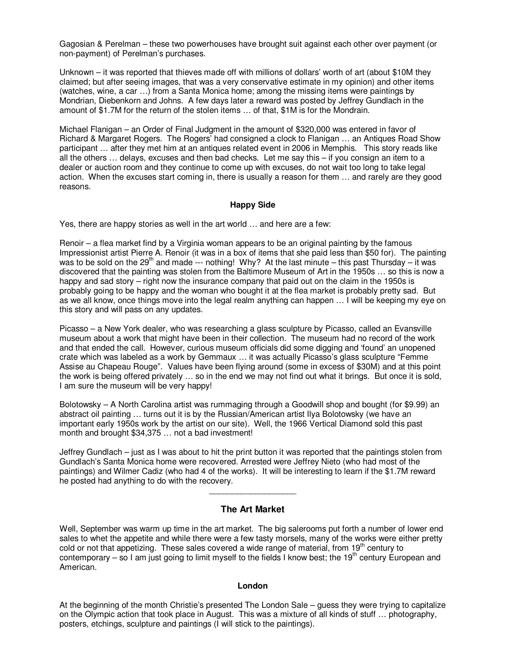Gagosian & Perelman – these two powerhouses have brought suit against each other over payment (or non-payment) of Perelman's purchases.

Unknown – it was reported that thieves made off with millions of dollars' worth of art (about \$10M they claimed; but after seeing images, that was a very conservative estimate in my opinion) and other items (watches, wine, a car …) from a Santa Monica home; among the missing items were paintings by Mondrian, Diebenkorn and Johns. A few days later a reward was posted by Jeffrey Gundlach in the amount of \$1.7M for the return of the stolen items … of that, \$1M is for the Mondrain.

Michael Flanigan – an Order of Final Judgment in the amount of \$320,000 was entered in favor of Richard & Margaret Rogers. The Rogers' had consigned a clock to Flanigan … an Antiques Road Show participant … after they met him at an antiques related event in 2006 in Memphis. This story reads like all the others … delays, excuses and then bad checks. Let me say this – if you consign an item to a dealer or auction room and they continue to come up with excuses, do not wait too long to take legal action. When the excuses start coming in, there is usually a reason for them … and rarely are they good reasons.

#### **Happy Side**

Yes, there are happy stories as well in the art world … and here are a few:

Renoir – a flea market find by a Virginia woman appears to be an original painting by the famous Impressionist artist Pierre A. Renoir (it was in a box of items that she paid less than \$50 for). The painting was to be sold on the 29<sup>th</sup> and made --- nothing! Why? At the last minute – this past Thursday – it was discovered that the painting was stolen from the Baltimore Museum of Art in the 1950s … so this is now a happy and sad story – right now the insurance company that paid out on the claim in the 1950s is probably going to be happy and the woman who bought it at the flea market is probably pretty sad. But as we all know, once things move into the legal realm anything can happen … I will be keeping my eye on this story and will pass on any updates.

Picasso – a New York dealer, who was researching a glass sculpture by Picasso, called an Evansville museum about a work that might have been in their collection. The museum had no record of the work and that ended the call. However, curious museum officials did some digging and 'found' an unopened crate which was labeled as a work by Gemmaux … it was actually Picasso's glass sculpture "Femme Assise au Chapeau Rouge". Values have been flying around (some in excess of \$30M) and at this point the work is being offered privately … so in the end we may not find out what it brings. But once it is sold, I am sure the museum will be very happy!

Bolotowsky – A North Carolina artist was rummaging through a Goodwill shop and bought (for \$9.99) an abstract oil painting … turns out it is by the Russian/American artist Ilya Bolotowsky (we have an important early 1950s work by the artist on our site). Well, the 1966 Vertical Diamond sold this past month and brought \$34,375 … not a bad investment!

Jeffrey Gundlach – just as I was about to hit the print button it was reported that the paintings stolen from Gundlach's Santa Monica home were recovered. Arrested were Jeffrey Nieto (who had most of the paintings) and Wilmer Cadiz (who had 4 of the works). It will be interesting to learn if the \$1.7M reward he posted had anything to do with the recovery.

#### **The Art Market**

\_\_\_\_\_\_\_\_\_\_\_\_\_\_\_\_\_\_\_

Well, September was warm up time in the art market. The big salerooms put forth a number of lower end sales to whet the appetite and while there were a few tasty morsels, many of the works were either pretty cold or not that appetizing. These sales covered a wide range of material, from  $19<sup>th</sup>$  century to contemporary – so I am just going to limit myself to the fields I know best; the 19<sup>th</sup> century European and American.

#### **London**

At the beginning of the month Christie's presented The London Sale – guess they were trying to capitalize on the Olympic action that took place in August. This was a mixture of all kinds of stuff … photography, posters, etchings, sculpture and paintings (I will stick to the paintings).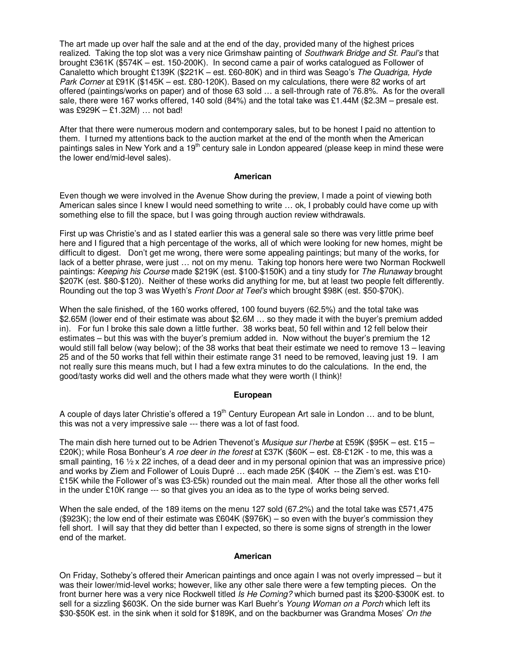The art made up over half the sale and at the end of the day, provided many of the highest prices realized. Taking the top slot was a very nice Grimshaw painting of Southwark Bridge and St. Paul's that brought £361K (\$574K – est. 150-200K). In second came a pair of works catalogued as Follower of Canaletto which brought £139K (\$221K – est. £60-80K) and in third was Seago's The Quadriga, Hyde Park Corner at £91K (\$145K – est. £80-120K). Based on my calculations, there were 82 works of art offered (paintings/works on paper) and of those 63 sold … a sell-through rate of 76.8%. As for the overall sale, there were 167 works offered, 140 sold (84%) and the total take was £1.44M (\$2.3M – presale est. was £929K – £1.32M) … not bad!

After that there were numerous modern and contemporary sales, but to be honest I paid no attention to them. I turned my attentions back to the auction market at the end of the month when the American paintings sales in New York and a 19<sup>th</sup> century sale in London appeared (please keep in mind these were the lower end/mid-level sales).

#### **American**

Even though we were involved in the Avenue Show during the preview, I made a point of viewing both American sales since I knew I would need something to write … ok, I probably could have come up with something else to fill the space, but I was going through auction review withdrawals.

First up was Christie's and as I stated earlier this was a general sale so there was very little prime beef here and I figured that a high percentage of the works, all of which were looking for new homes, might be difficult to digest. Don't get me wrong, there were some appealing paintings; but many of the works, for lack of a better phrase, were just … not on my menu. Taking top honors here were two Norman Rockwell paintings: Keeping his Course made \$219K (est. \$100-\$150K) and a tiny study for The Runaway brought \$207K (est. \$80-\$120). Neither of these works did anything for me, but at least two people felt differently. Rounding out the top 3 was Wyeth's Front Door at Teel's which brought \$98K (est. \$50-\$70K).

When the sale finished, of the 160 works offered, 100 found buyers (62.5%) and the total take was \$2.65M (lower end of their estimate was about \$2.6M … so they made it with the buyer's premium added in). For fun I broke this sale down a little further. 38 works beat, 50 fell within and 12 fell below their estimates – but this was with the buyer's premium added in. Now without the buyer's premium the 12 would still fall below (way below); of the 38 works that beat their estimate we need to remove 13 – leaving 25 and of the 50 works that fell within their estimate range 31 need to be removed, leaving just 19. I am not really sure this means much, but I had a few extra minutes to do the calculations. In the end, the good/tasty works did well and the others made what they were worth (I think)!

#### **European**

A couple of days later Christie's offered a 19<sup>th</sup> Century European Art sale in London  $\ldots$  and to be blunt, this was not a very impressive sale --- there was a lot of fast food.

The main dish here turned out to be Adrien Thevenot's Musique sur l'herbe at £59K (\$95K – est. £15 – £20K); while Rosa Bonheur's A roe deer in the forest at £37K (\$60K – est. £8-£12K - to me, this was a small painting, 16  $\frac{1}{2}$  x 22 inches, of a dead deer and in my personal opinion that was an impressive price) and works by Ziem and Follower of Louis Dupré … each made 25K (\$40K -- the Ziem's est. was £10- £15K while the Follower of's was £3-£5k) rounded out the main meal. After those all the other works fell in the under £10K range --- so that gives you an idea as to the type of works being served.

When the sale ended, of the 189 items on the menu 127 sold (67.2%) and the total take was £571,475 (\$923K); the low end of their estimate was £604K (\$976K) – so even with the buyer's commission they fell short. I will say that they did better than I expected, so there is some signs of strength in the lower end of the market.

#### **American**

On Friday, Sotheby's offered their American paintings and once again I was not overly impressed – but it was their lower/mid-level works; however, like any other sale there were a few tempting pieces. On the front burner here was a very nice Rockwell titled Is He Coming? which burned past its \$200-\$300K est. to sell for a sizzling \$603K. On the side burner was Karl Buehr's Young Woman on a Porch which left its \$30-\$50K est. in the sink when it sold for \$189K, and on the backburner was Grandma Moses' On the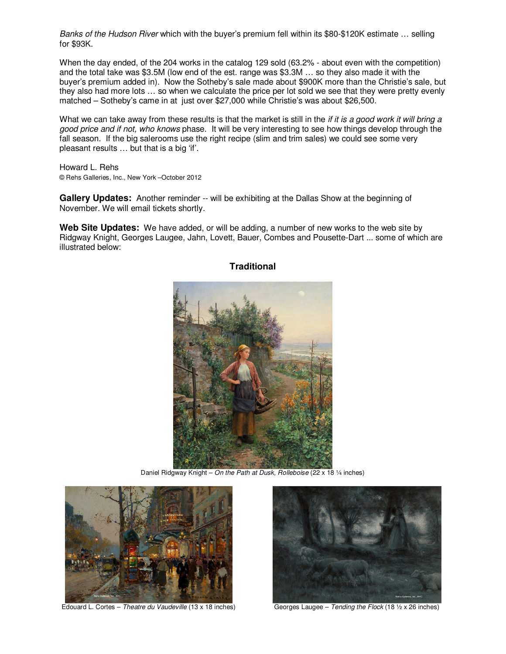Banks of the Hudson River which with the buyer's premium fell within its \$80-\$120K estimate … selling for \$93K.

When the day ended, of the 204 works in the catalog 129 sold (63.2% - about even with the competition) and the total take was \$3.5M (low end of the est. range was \$3.3M … so they also made it with the buyer's premium added in). Now the Sotheby's sale made about \$900K more than the Christie's sale, but they also had more lots … so when we calculate the price per lot sold we see that they were pretty evenly matched – Sotheby's came in at just over \$27,000 while Christie's was about \$26,500.

What we can take away from these results is that the market is still in the *if it is a good work it will bring a* good price and if not, who knows phase. It will be very interesting to see how things develop through the fall season. If the big salerooms use the right recipe (slim and trim sales) we could see some very pleasant results … but that is a big 'if'.

Howard L. Rehs © Rehs Galleries, Inc., New York –October 2012

**Gallery Updates:** Another reminder -- will be exhibiting at the Dallas Show at the beginning of November. We will email tickets shortly.

**Web Site Updates:** We have added, or will be adding, a number of new works to the web site by Ridgway Knight, Georges Laugee, Jahn, Lovett, Bauer, Combes and Pousette-Dart ... some of which are illustrated below:



**Traditional** 

Daniel Ridgway Knight – On the Path at Dusk, Rolleboise (22 x 18 1/4 inches)



Edouard L. Cortes – Theatre du Vaudeville (13 x 18 inches) Georges Laugee – Tending the Flock (18 1/2 x 26 inches)